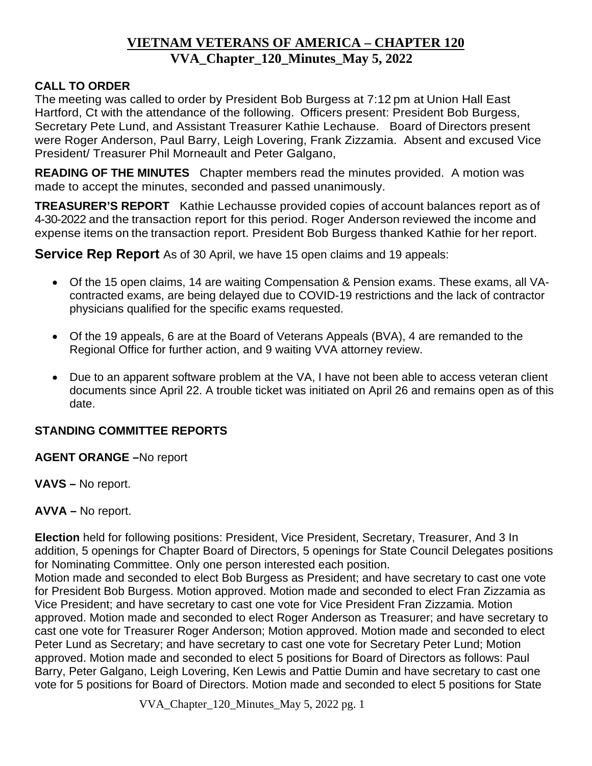# **VIETNAM VETERANS OF AMERICA – CHAPTER 120 VVA\_Chapter\_120\_Minutes\_May 5, 2022**

## **CALL TO ORDER**

The meeting was called to order by President Bob Burgess at 7:12 pm at Union Hall East Hartford, Ct with the attendance of the following. Officers present: President Bob Burgess, Secretary Pete Lund, and Assistant Treasurer Kathie Lechause. Board of Directors present were Roger Anderson, Paul Barry, Leigh Lovering, Frank Zizzamia. Absent and excused Vice President/ Treasurer Phil Morneault and Peter Galgano,

**READING OF THE MINUTES** Chapter members read the minutes provided. A motion was made to accept the minutes, seconded and passed unanimously.

**TREASURER'S REPORT** Kathie Lechausse provided copies of account balances report as of 4-30-2022 and the transaction report for this period. Roger Anderson reviewed the income and expense items on the transaction report. President Bob Burgess thanked Kathie for her report.

**Service Rep Report** As of 30 April, we have 15 open claims and 19 appeals:

- Of the 15 open claims, 14 are waiting Compensation & Pension exams. These exams, all VAcontracted exams, are being delayed due to COVID-19 restrictions and the lack of contractor physicians qualified for the specific exams requested.
- Of the 19 appeals, 6 are at the Board of Veterans Appeals (BVA), 4 are remanded to the Regional Office for further action, and 9 waiting VVA attorney review.
- Due to an apparent software problem at the VA, I have not been able to access veteran client documents since April 22. A trouble ticket was initiated on April 26 and remains open as of this date.

## **STANDING COMMITTEE REPORTS**

#### **AGENT ORANGE –**No report

**VAVS –** No report.

## **AVVA –** No report.

**Election** held for following positions: President, Vice President, Secretary, Treasurer, And 3 In addition, 5 openings for Chapter Board of Directors, 5 openings for State Council Delegates positions for Nominating Committee. Only one person interested each position.

Motion made and seconded to elect Bob Burgess as President; and have secretary to cast one vote for President Bob Burgess. Motion approved. Motion made and seconded to elect Fran Zizzamia as Vice President; and have secretary to cast one vote for Vice President Fran Zizzamia. Motion approved. Motion made and seconded to elect Roger Anderson as Treasurer; and have secretary to cast one vote for Treasurer Roger Anderson; Motion approved. Motion made and seconded to elect Peter Lund as Secretary; and have secretary to cast one vote for Secretary Peter Lund; Motion approved. Motion made and seconded to elect 5 positions for Board of Directors as follows: Paul Barry, Peter Galgano, Leigh Lovering, Ken Lewis and Pattie Dumin and have secretary to cast one vote for 5 positions for Board of Directors. Motion made and seconded to elect 5 positions for State

VVA\_Chapter\_120\_Minutes\_May 5, 2022 pg. 1